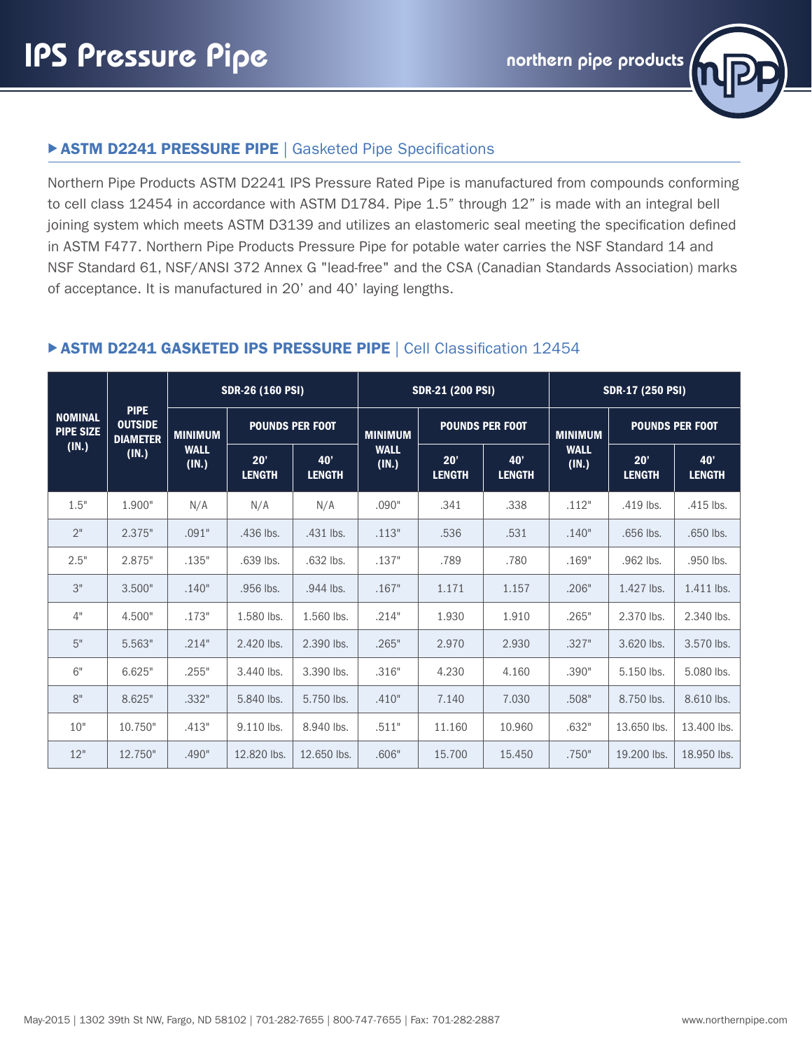

Northern Pipe Products ASTM D2241 IPS Pressure Rated Pipe is manufactured from compounds conforming to cell class 12454 in accordance with ASTM D1784. Pipe 1.5" through 12" is made with an integral bell joining system which meets ASTM D3139 and utilizes an elastomeric seal meeting the specification defined in ASTM F477. Northern Pipe Products Pressure Pipe for potable water carries the NSF Standard 14 and NSF Standard 61, NSF/ANSI 372 Annex G "lead-free" and the CSA (Canadian Standards Association) marks of acceptance. It is manufactured in 20' and 40' laying lengths.

| <b>NOMINAL</b><br><b>PIPE SIZE</b><br>(IN.) | <b>PIPE</b><br><b>OUTSIDE</b><br><b>DIAMETER</b><br>(IN.) | <b>SDR-26 (160 PSI)</b>                |                        |                      | <b>SDR-21 (200 PSI)</b> |                        |                      | SDR-17 (250 PSI)     |                        |                      |
|---------------------------------------------|-----------------------------------------------------------|----------------------------------------|------------------------|----------------------|-------------------------|------------------------|----------------------|----------------------|------------------------|----------------------|
|                                             |                                                           | <b>MINIMUM</b><br><b>WALL</b><br>(IN.) | <b>POUNDS PER FOOT</b> |                      | <b>MINIMUM</b>          | <b>POUNDS PER FOOT</b> |                      | <b>MINIMUM</b>       | <b>POUNDS PER FOOT</b> |                      |
|                                             |                                                           |                                        | 20'<br><b>LENGTH</b>   | 40'<br><b>LENGTH</b> | <b>WALL</b><br>(IN.)    | 20'<br><b>LENGTH</b>   | 40'<br><b>LENGTH</b> | <b>WALL</b><br>(IN.) | 20'<br><b>LENGTH</b>   | 40'<br><b>LENGTH</b> |
| 1.5"                                        | 1.900"                                                    | N/A                                    | N/A                    | N/A                  | .090"                   | .341                   | .338                 | .112"                | .419 lbs.              | .415 lbs.            |
| 2"                                          | 2.375"                                                    | .091"                                  | .436 lbs.              | .431 lbs.            | .113"                   | .536                   | .531                 | .140"                | .656 lbs.              | .650 lbs.            |
| 2.5"                                        | 2.875"                                                    | .135"                                  | .639 lbs.              | .632 lbs.            | .137"                   | .789                   | .780                 | .169"                | .962 lbs.              | .950 lbs.            |
| 3"                                          | 3.500"                                                    | .140"                                  | .956 lbs.              | .944 lbs.            | .167"                   | 1.171                  | 1.157                | .206"                | 1.427 lbs.             | 1.411 lbs.           |
| 4"                                          | 4.500"                                                    | .173"                                  | 1.580 lbs.             | 1.560 lbs.           | .214"                   | 1.930                  | 1.910                | .265"                | 2.370 lbs.             | 2.340 lbs.           |
| 5"                                          | 5.563"                                                    | .214"                                  | 2.420 lbs.             | 2.390 lbs.           | .265"                   | 2.970                  | 2.930                | .327"                | 3.620 lbs.             | 3.570 lbs.           |
| 6"                                          | 6.625"                                                    | .255"                                  | 3.440 lbs.             | 3.390 lbs.           | .316"                   | 4.230                  | 4.160                | .390"                | 5.150 lbs.             | 5.080 lbs.           |
| 8"                                          | 8.625"                                                    | .332"                                  | 5.840 lbs.             | 5.750 lbs.           | .410"                   | 7.140                  | 7.030                | .508"                | 8.750 lbs.             | 8.610 lbs.           |
| 10"                                         | 10.750"                                                   | .413"                                  | 9.110 lbs.             | 8.940 lbs.           | .511"                   | 11.160                 | 10.960               | .632"                | 13.650 lbs.            | 13,400 lbs.          |
| 12"                                         | 12.750"                                                   | .490"                                  | 12.820 lbs.            | 12.650 lbs.          | .606"                   | 15,700                 | 15.450               | .750"                | 19,200 lbs.            | 18.950 lbs.          |

#### **ASTM D2241 GASKETED IPS PRESSURE PIPE | Cell Classification 12454**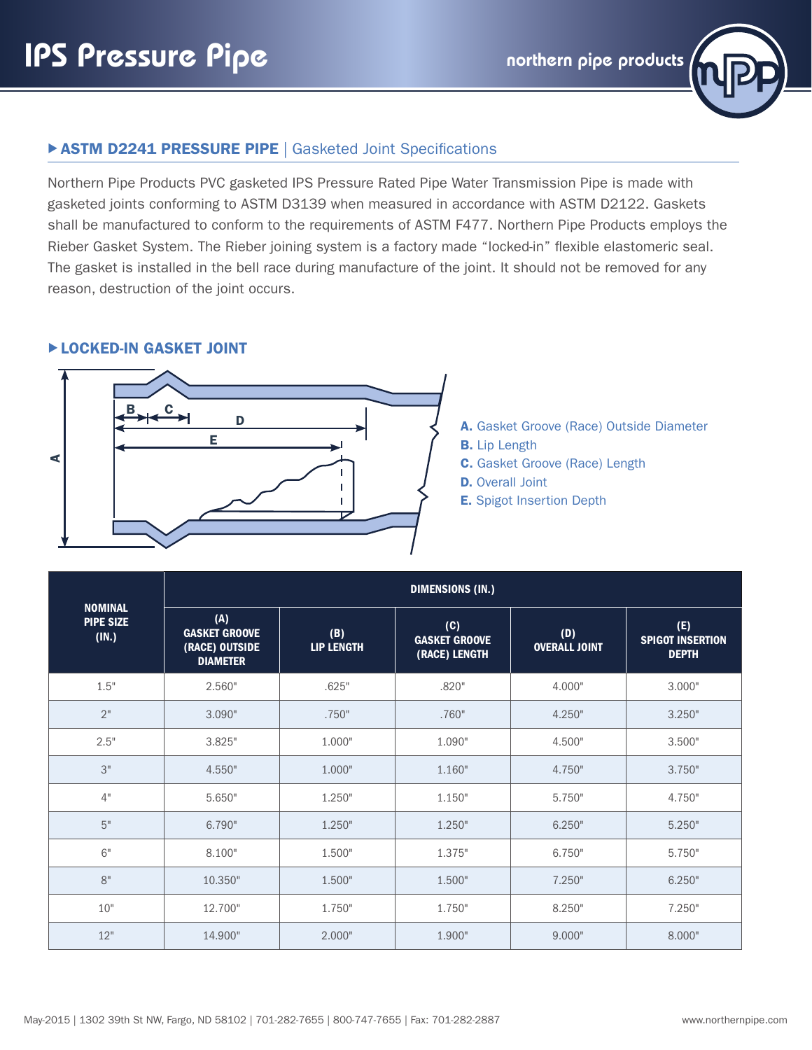## **ASTM D2241 PRESSURE PIPE | Gasketed Joint Specifications**

Northern Pipe Products PVC gasketed IPS Pressure Rated Pipe Water Transmission Pipe is made with gasketed joints conforming to ASTM D3139 when measured in accordance with ASTM D2122. Gaskets shall be manufactured to conform to the requirements of ASTM F477. Northern Pipe Products employs the Rieber Gasket System. The Rieber joining system is a factory made "locked-in" flexible elastomeric seal. The gasket is installed in the bell race during manufacture of the joint. It should not be removed for any reason, destruction of the joint occurs.

#### **ELOCKED-IN GASKET JOINT**



- A. Gasket Groove (Race) Outside Diameter
- B. Lip Length
- C. Gasket Groove (Race) Length
- **D.** Overall Joint
- E. Spigot Insertion Depth

|                                             | <b>DIMENSIONS (IN.)</b>                                          |                          |                                              |                             |                                                |  |  |  |  |
|---------------------------------------------|------------------------------------------------------------------|--------------------------|----------------------------------------------|-----------------------------|------------------------------------------------|--|--|--|--|
| <b>NOMINAL</b><br><b>PIPE SIZE</b><br>(IN.) | (A)<br><b>GASKET GROOVE</b><br>(RACE) OUTSIDE<br><b>DIAMETER</b> | (B)<br><b>LIP LENGTH</b> | (C)<br><b>GASKET GROOVE</b><br>(RACE) LENGTH | (D)<br><b>OVERALL JOINT</b> | (E)<br><b>SPIGOT INSERTION</b><br><b>DEPTH</b> |  |  |  |  |
| 1.5"                                        | 2.560"                                                           | .625"                    | .820"                                        | 4.000"                      | 3.000"                                         |  |  |  |  |
| 2"                                          | 3.090"                                                           | .750"                    | .760"                                        | 4.250"                      | 3.250"                                         |  |  |  |  |
| 2.5"                                        | 3.825"                                                           | 1.000"                   | 1.090"                                       | 4.500"                      | 3.500"                                         |  |  |  |  |
| 3"                                          | 4.550"                                                           | 1.000"                   | 1.160"                                       | 4.750"                      | 3.750"                                         |  |  |  |  |
| 4"                                          | 5.650"                                                           | 1.250"                   | 1.150"                                       | 5.750"                      | 4.750"                                         |  |  |  |  |
| 5"                                          | 6.790"                                                           | 1.250"                   | 1.250"                                       | 6.250"                      | 5.250"                                         |  |  |  |  |
| 6"                                          | 8.100"                                                           | 1.500"                   | 1.375"                                       | 6.750"                      | 5.750"                                         |  |  |  |  |
| 8"                                          | 10.350"                                                          | 1.500"                   | 1.500"                                       | 7.250"                      | 6.250"                                         |  |  |  |  |
| 10"                                         | 12.700"                                                          | 1.750"                   | 1.750"                                       | 8.250"                      | 7.250"                                         |  |  |  |  |
| 12"                                         | 14.900"                                                          | 2.000"                   | 1.900"                                       | 9.000"                      | 8.000"                                         |  |  |  |  |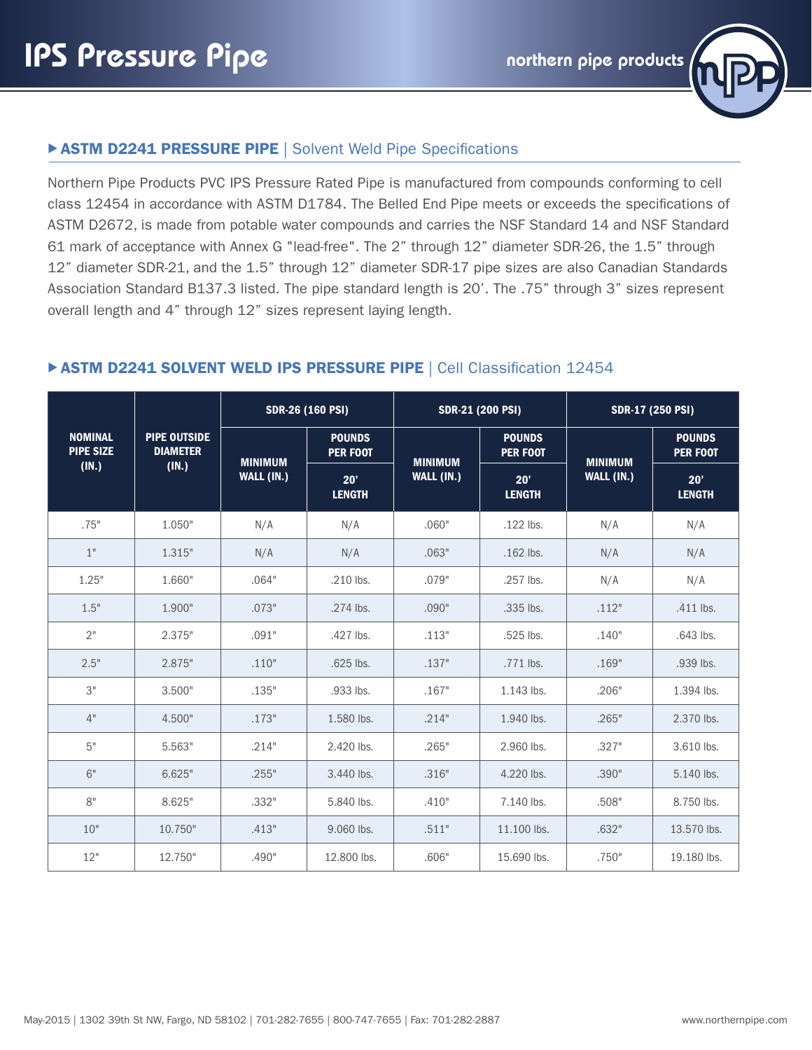

### **ASTM D2241 PRESSURE PIPE | Solvent Weld Pipe Specifications**

Northern Pipe Products PVC IPS Pressure Rated Pipe is manufactured from compounds conforming to cell class 12454 in accordance with ASTM D1784. The Belled End Pipe meets or exceeds the specifications of ASTM D2672, is made from potable water compounds and carries the NSF Standard 14 and NSF Standard 61 mark of acceptance with Annex G "lead-free". The 2" through 12" diameter SDR-26, the 1.5" through 12" diameter SDR-21, and the 1.5" through 12" diameter SDR-17 pipe sizes are also Canadian Standards Association Standard B137.3 listed. The pipe standard length is 20'. The .75" through 3" sizes represent overall length and 4" through 12" sizes represent laying length.

#### NOMINAL PIPE SIZE (IN.) PIPE OUTSIDE DIAMETER (IN.) SDR-26 (160 PSI) SDR-21 (200 PSI) SDR-17 (250 PSI) MINIMUM WALL (IN.) POUNDS PER FOOT MINIMUM WALL (IN.) POUNDS PER FOOT MINIMUM WALL (IN.) POUNDS PER FOOT 20' LENGTH 20' **LENGTH** 20' **LENGTH** .75" | 1.050" | N/A | N/A | .060" | .122 lbs. | N/A | N/A 1" | 1.315" | N/A | N/A | .063" | .162 lbs. | N/A | N/A 1.25" | 1.660" | .064" | .210 lbs. | .079" | .257 lbs. | N/A | N/A 1.5" | 1.900" | .073" | .274 lbs. | .090" | .335 lbs. | .112" | .411 lbs. .427 lbs. | .113" | .525 lbs. | .140" | .643 lbs. | .113" | .525 lbs. | .140" | .643 lbs. .2.5" | 2.875" | .110" | .625 lbs. | .137" | .771 lbs. | .169" | .939 lbs. 3" .135" | .933 lbs. | .167" | 1.143 lbs. | .206" | 1.394 lbs. | .394 lbs. 4" | 4.500" | .173" | 1.580 lbs. | .214" | 1.940 lbs. | .265" | 2.370 lbs. 5" .327" | 5.563" | 2.421 | 2.420 lbs. | 2.65" | 2.960 lbs. | 3.7" | 3.610 lbs. 6" | 6.625" | .255" | 3.440 lbs. | .316" | 4.220 lbs. | .390" | 5.140 lbs. 8" | 8.625" | .332" | 5.840 lbs. | .410" | 7.140 lbs. | .508" | 8.750 lbs. 10" | 10.750" | .413" | 9.060 lbs. | .511" | 11.100 lbs. | .632" | 13.570 lbs. 12" | 12.750" | .490" | 12.800 lbs. | .606" | 15.690 lbs. | .750" | 19.180 lbs.

#### **ASTM D2241 SOLVENT WELD IPS PRESSURE PIPE | Cell Classification 12454**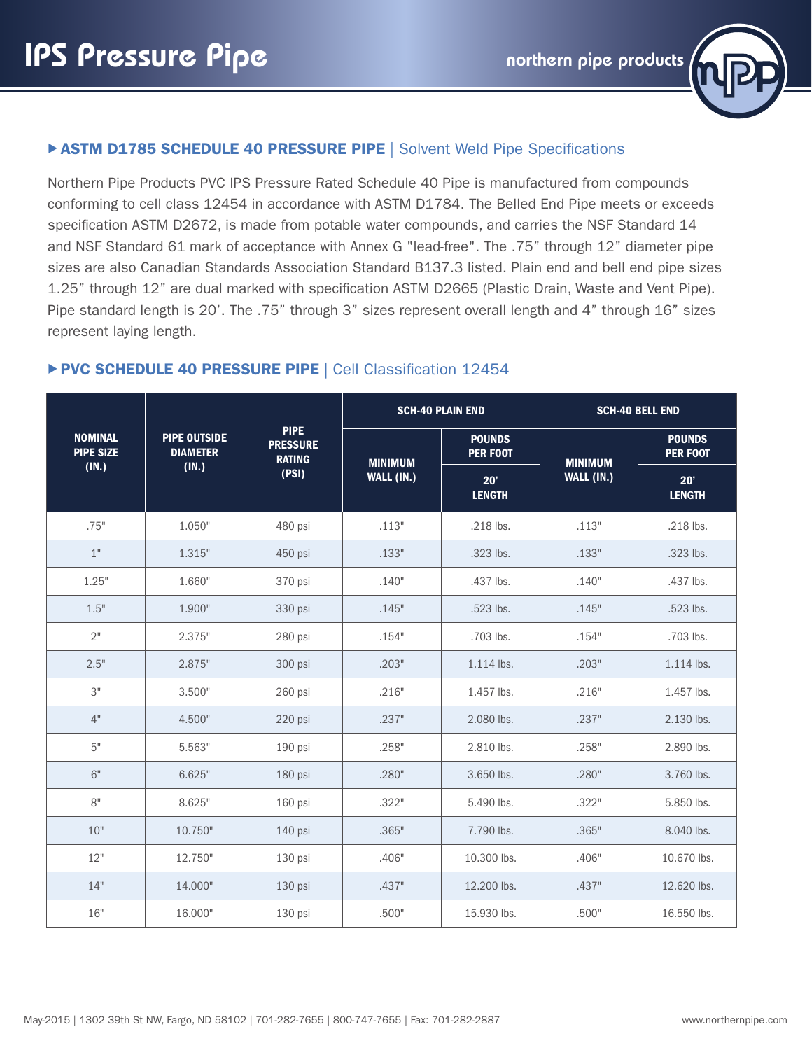

# **EXTM D1785 SCHEDULE 40 PRESSURE PIPE | Solvent Weld Pipe Specifications**

Northern Pipe Products PVC IPS Pressure Rated Schedule 40 Pipe is manufactured from compounds conforming to cell class 12454 in accordance with ASTM D1784. The Belled End Pipe meets or exceeds specification ASTM D2672, is made from potable water compounds, and carries the NSF Standard 14 and NSF Standard 61 mark of acceptance with Annex G "lead-free". The .75" through 12" diameter pipe sizes are also Canadian Standards Association Standard B137.3 listed. Plain end and bell end pipe sizes 1.25" through 12" are dual marked with specification ASTM D2665 (Plastic Drain, Waste and Vent Pipe). Pipe standard length is 20'. The .75" through 3" sizes represent overall length and 4" through 16" sizes represent laying length.

# ▶ PVC SCHEDULE 40 PRESSURE PIPE | Cell Classification 12454

|                                    |                                        |                                                 |                | <b>SCH-40 PLAIN END</b>          | <b>SCH-40 BELL END</b> |                                  |  |
|------------------------------------|----------------------------------------|-------------------------------------------------|----------------|----------------------------------|------------------------|----------------------------------|--|
| <b>NOMINAL</b><br><b>PIPE SIZE</b> | <b>PIPE OUTSIDE</b><br><b>DIAMETER</b> | <b>PIPE</b><br><b>PRESSURE</b><br><b>RATING</b> | <b>MINIMUM</b> | <b>POUNDS</b><br><b>PER FOOT</b> | <b>MINIMUM</b>         | <b>POUNDS</b><br><b>PER FOOT</b> |  |
| (IN.)                              | (IN.)                                  | (PSI)                                           | WALL (IN.)     | 20'<br><b>LENGTH</b>             | WALL (IN.)             | 20'<br><b>LENGTH</b>             |  |
| .75"                               | 1.050"                                 | 480 psi                                         | .113"          | .218 lbs.                        | .113"                  | .218 lbs.                        |  |
| 1"                                 | 1.315"                                 | 450 psi                                         | .133"          | .323 lbs.                        | .133"                  | .323 lbs.                        |  |
| 1.25"                              | 1.660"                                 | 370 psi                                         | .140"          | .437 lbs.                        | .140"                  | .437 lbs.                        |  |
| 1.5"                               | 1.900"                                 | 330 psi                                         | .145"          | .523 lbs.                        | .145"                  | .523 lbs.                        |  |
| 2"                                 | 2.375"                                 | 280 psi                                         | .154"          | .703 lbs.                        | .154"                  | .703 lbs.                        |  |
| 2.5"                               | 2.875"                                 | 300 psi                                         | .203"          | 1.114 lbs.                       | .203"                  | 1.114 lbs.                       |  |
| 3"                                 | 3.500"                                 | 260 psi                                         | .216"          | 1.457 lbs.                       | .216"                  | 1.457 lbs.                       |  |
| 4"                                 | 4.500"                                 | 220 psi                                         | .237"          | 2.080 lbs.                       | .237"                  | 2.130 lbs.                       |  |
| $5"$                               | 5.563"                                 | 190 psi                                         | .258"          | 2.810 lbs.                       | .258"                  | 2.890 lbs.                       |  |
| 6"                                 | 6.625"                                 | 180 psi                                         | .280"          | 3.650 lbs.                       | .280"                  | 3.760 lbs.                       |  |
| 8"                                 | 8.625"                                 | 160 psi                                         | .322"          | 5.490 lbs.                       | .322"                  | 5.850 lbs.                       |  |
| 10"                                | 10.750"                                | 140 psi                                         | .365"          | 7.790 lbs.                       | .365"                  | 8.040 lbs.                       |  |
| 12"                                | 12.750"                                | 130 psi                                         | .406"          | 10.300 lbs.                      | .406"                  | 10.670 lbs.                      |  |
| 14"                                | 14.000"                                | 130 psi                                         | .437"          | 12.200 lbs.                      | .437"                  | 12.620 lbs.                      |  |
| 16"                                | 16.000"                                | 130 psi                                         | .500"          | 15.930 lbs.                      | .500"                  | 16.550 lbs.                      |  |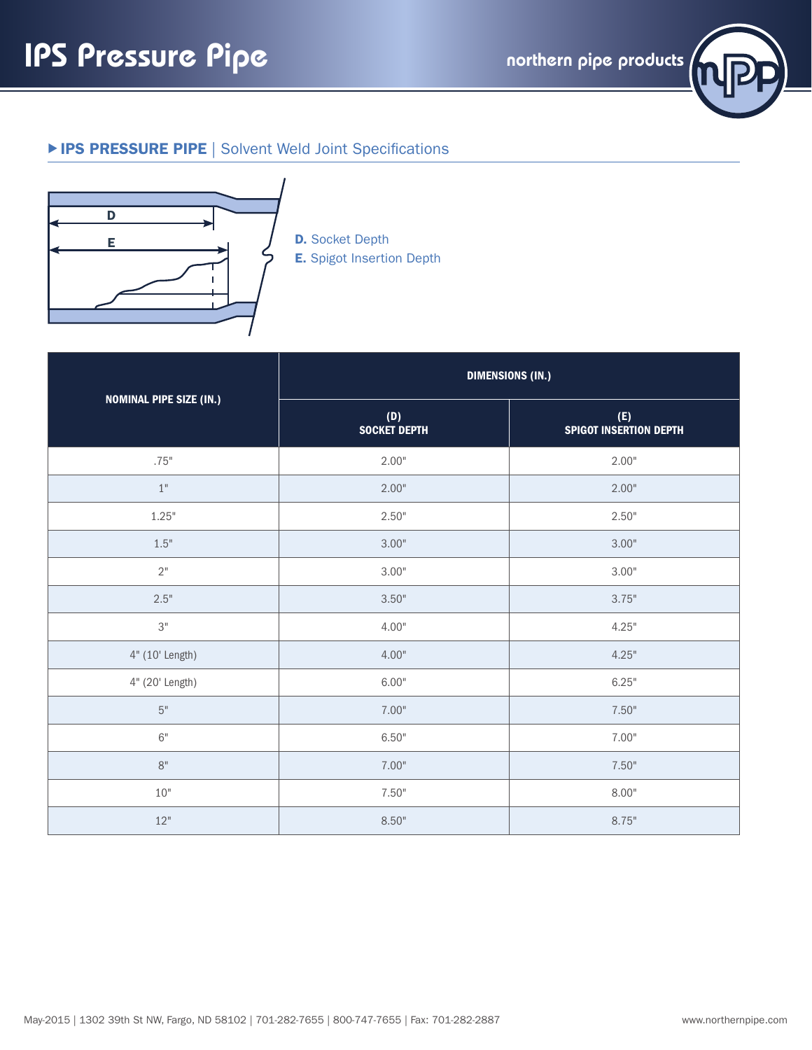

## **EIPS PRESSURE PIPE | Solvent Weld Joint Specifications**



E. Spigot Insertion Depth

|                                | <b>DIMENSIONS (IN.)</b>    |                                      |  |  |  |  |
|--------------------------------|----------------------------|--------------------------------------|--|--|--|--|
| <b>NOMINAL PIPE SIZE (IN.)</b> | (D)<br><b>SOCKET DEPTH</b> | (E)<br><b>SPIGOT INSERTION DEPTH</b> |  |  |  |  |
| .75"                           | 2.00"                      | 2.00"                                |  |  |  |  |
| $1"$                           | 2.00"                      | 2.00"                                |  |  |  |  |
| 1.25"                          | 2.50"                      | 2.50"                                |  |  |  |  |
| 1.5"                           | 3.00"                      | 3.00"                                |  |  |  |  |
| $2"$                           | 3.00"                      | 3.00"                                |  |  |  |  |
| 2.5"                           | 3.50"                      | 3.75"                                |  |  |  |  |
| $3"$                           | 4.00"                      | 4.25"                                |  |  |  |  |
| 4" (10' Length)                | 4.00"                      | 4.25"                                |  |  |  |  |
| 4" (20' Length)                | 6.00"                      | 6.25"                                |  |  |  |  |
| $5"$                           | 7.00"                      | 7.50"                                |  |  |  |  |
| 6"                             | 6.50"                      | 7.00"                                |  |  |  |  |
| $8"$                           | 7.00"                      | 7.50"                                |  |  |  |  |
| 10"                            | 7.50"                      | 8.00"                                |  |  |  |  |
| 12"                            | 8.50"                      | 8.75"                                |  |  |  |  |